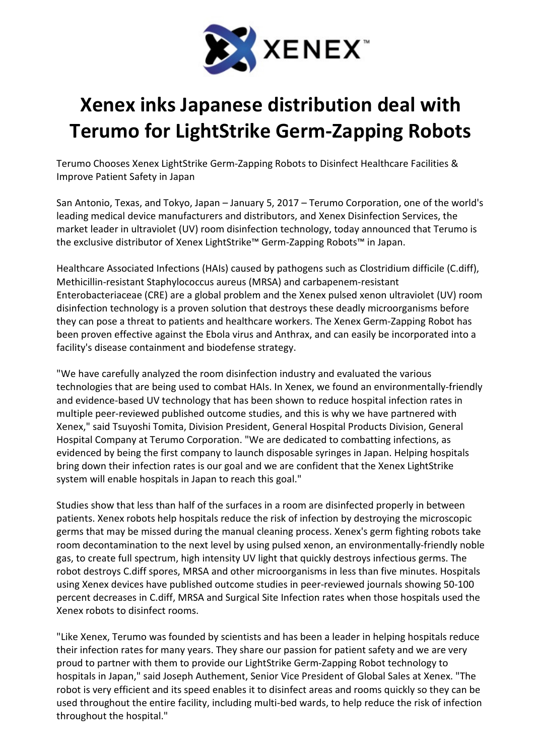

## Xenex inks Japanese distribution deal with Terumo for LightStrike Germ-Zapping Robots

Terumo Chooses Xenex LightStrike Germ-Zapping Robots to Disinfect Healthcare Facilities & Improve Patient Safety in Japan

San Antonio, Texas, and Tokyo, Japan – January 5, 2017 – Terumo Corporation, one of the world's leading medical device manufacturers and distributors, and Xenex Disinfection Services, the market leader in ultraviolet (UV) room disinfection technology, today announced that Terumo is the exclusive distributor of Xenex LightStrike™ Germ-Zapping Robots™ in Japan.

Healthcare Associated Infections (HAIs) caused by pathogens such as Clostridium difficile (C.diff), Methicillin-resistant Staphylococcus aureus (MRSA) and carbapenem-resistant Enterobacteriaceae (CRE) are a global problem and the Xenex pulsed xenon ultraviolet (UV) room disinfection technology is a proven solution that destroys these deadly microorganisms before they can pose a threat to patients and healthcare workers. The Xenex Germ-Zapping Robot has been proven effective against the Ebola virus and Anthrax, and can easily be incorporated into a facility's disease containment and biodefense strategy.

"We have carefully analyzed the room disinfection industry and evaluated the various technologies that are being used to combat HAIs. In Xenex, we found an environmentally-friendly and evidence-based UV technology that has been shown to reduce hospital infection rates in multiple peer-reviewed published outcome studies, and this is why we have partnered with Xenex," said Tsuyoshi Tomita, Division President, General Hospital Products Division, General Hospital Company at Terumo Corporation. "We are dedicated to combatting infections, as evidenced by being the first company to launch disposable syringes in Japan. Helping hospitals bring down their infection rates is our goal and we are confident that the Xenex LightStrike system will enable hospitals in Japan to reach this goal."

Studies show that less than half of the surfaces in a room are disinfected properly in between patients. Xenex robots help hospitals reduce the risk of infection by destroying the microscopic germs that may be missed during the manual cleaning process. Xenex's germ fighting robots take room decontamination to the next level by using pulsed xenon, an environmentally-friendly noble gas, to create full spectrum, high intensity UV light that quickly destroys infectious germs. The robot destroys C.diff spores, MRSA and other microorganisms in less than five minutes. Hospitals using Xenex devices have published outcome studies in peer-reviewed journals showing 50-100 percent decreases in C.diff, MRSA and Surgical Site Infection rates when those hospitals used the Xenex robots to disinfect rooms.

"Like Xenex, Terumo was founded by scientists and has been a leader in helping hospitals reduce their infection rates for many years. They share our passion for patient safety and we are very proud to partner with them to provide our LightStrike Germ-Zapping Robot technology to hospitals in Japan," said Joseph Authement, Senior Vice President of Global Sales at Xenex. "The robot is very efficient and its speed enables it to disinfect areas and rooms quickly so they can be used throughout the entire facility, including multi-bed wards, to help reduce the risk of infection throughout the hospital."